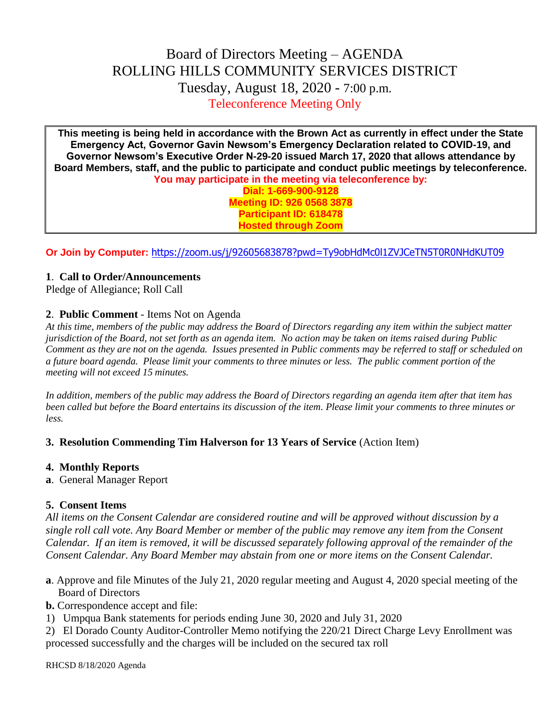# Board of Directors Meeting – AGENDA ROLLING HILLS COMMUNITY SERVICES DISTRICT Tuesday, August 18, 2020 - 7:00 p.m. Teleconference Meeting Only

**This meeting is being held in accordance with the Brown Act as currently in effect under the State Emergency Act, Governor Gavin Newsom's Emergency Declaration related to COVID-19, and Governor Newsom's Executive Order N-29-20 issued March 17, 2020 that allows attendance by Board Members, staff, and the public to participate and conduct public meetings by teleconference. You may participate in the meeting via teleconference by:**

> **Dial: 1-669-900-9128 Meeting ID: 926 0568 3878 Participant ID: 618478 Hosted through Zoom**

**Or Join by Computer:** <https://zoom.us/j/92605683878?pwd=Ty9obHdMc0l1ZVJCeTN5T0R0NHdKUT09>

## **1**. **Call to Order/Announcements**

Pledge of Allegiance; Roll Call

#### **2**. **Public Comment** - Items Not on Agenda

*At this time, members of the public may address the Board of Directors regarding any item within the subject matter jurisdiction of the Board, not set forth as an agenda item. No action may be taken on items raised during Public Comment as they are not on the agenda. Issues presented in Public comments may be referred to staff or scheduled on a future board agenda. Please limit your comments to three minutes or less. The public comment portion of the meeting will not exceed 15 minutes.*

*In addition, members of the public may address the Board of Directors regarding an agenda item after that item has been called but before the Board entertains its discussion of the item. Please limit your comments to three minutes or less.*

#### **3. Resolution Commending Tim Halverson for 13 Years of Service** (Action Item)

#### **4. Monthly Reports**

**a**. General Manager Report

## **5. Consent Items**

*All items on the Consent Calendar are considered routine and will be approved without discussion by a single roll call vote. Any Board Member or member of the public may remove any item from the Consent Calendar. If an item is removed, it will be discussed separately following approval of the remainder of the Consent Calendar. Any Board Member may abstain from one or more items on the Consent Calendar.*

**a**. Approve and file Minutes of the July 21, 2020 regular meeting and August 4, 2020 special meeting of the Board of Directors

**b.** Correspondence accept and file:

- 1) Umpqua Bank statements for periods ending June 30, 2020 and July 31, 2020
- 2) El Dorado County Auditor-Controller Memo notifying the 220/21 Direct Charge Levy Enrollment was processed successfully and the charges will be included on the secured tax roll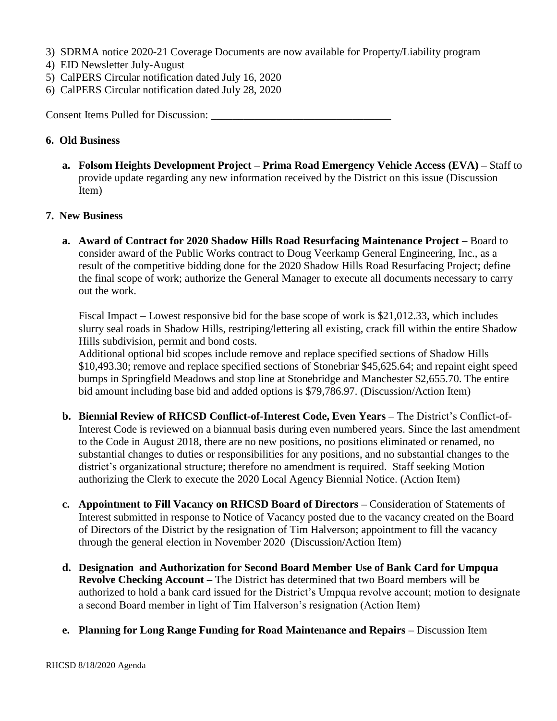- 3) SDRMA notice 2020-21 Coverage Documents are now available for Property/Liability program
- 4) EID Newsletter July-August
- 5) CalPERS Circular notification dated July 16, 2020
- 6) CalPERS Circular notification dated July 28, 2020

Consent Items Pulled for Discussion:

# **6. Old Business**

**a. Folsom Heights Development Project – Prima Road Emergency Vehicle Access (EVA) –** Staff to provide update regarding any new information received by the District on this issue (Discussion Item)

# **7. New Business**

**a. Award of Contract for 2020 Shadow Hills Road Resurfacing Maintenance Project –** Board to consider award of the Public Works contract to Doug Veerkamp General Engineering, Inc., as a result of the competitive bidding done for the 2020 Shadow Hills Road Resurfacing Project; define the final scope of work; authorize the General Manager to execute all documents necessary to carry out the work.

Fiscal Impact – Lowest responsive bid for the base scope of work is \$21,012.33, which includes slurry seal roads in Shadow Hills, restriping/lettering all existing, crack fill within the entire Shadow Hills subdivision, permit and bond costs.

Additional optional bid scopes include remove and replace specified sections of Shadow Hills \$10,493.30; remove and replace specified sections of Stonebriar \$45,625.64; and repaint eight speed bumps in Springfield Meadows and stop line at Stonebridge and Manchester \$2,655.70. The entire bid amount including base bid and added options is \$79,786.97. (Discussion/Action Item)

- **b. Biennial Review of RHCSD Conflict-of-Interest Code, Even Years –** The District's Conflict-of-Interest Code is reviewed on a biannual basis during even numbered years. Since the last amendment to the Code in August 2018, there are no new positions, no positions eliminated or renamed, no substantial changes to duties or responsibilities for any positions, and no substantial changes to the district's organizational structure; therefore no amendment is required. Staff seeking Motion authorizing the Clerk to execute the 2020 Local Agency Biennial Notice. (Action Item)
- **c. Appointment to Fill Vacancy on RHCSD Board of Directors –** Consideration of Statements of Interest submitted in response to Notice of Vacancy posted due to the vacancy created on the Board of Directors of the District by the resignation of Tim Halverson; appointment to fill the vacancy through the general election in November 2020 (Discussion/Action Item)
- **d. Designation and Authorization for Second Board Member Use of Bank Card for Umpqua Revolve Checking Account –** The District has determined that two Board members will be authorized to hold a bank card issued for the District's Umpqua revolve account; motion to designate a second Board member in light of Tim Halverson's resignation (Action Item)
- **e. Planning for Long Range Funding for Road Maintenance and Repairs –** Discussion Item